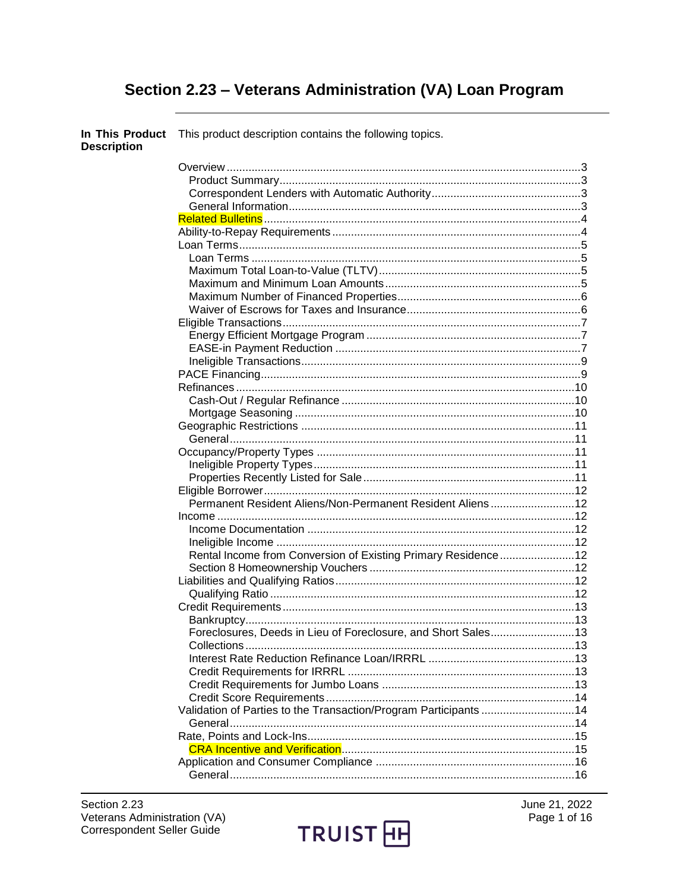# Section 2.23 - Veterans Administration (VA) Loan Program

| <b>Description</b> | In This Product This product description contains the following topics. |  |
|--------------------|-------------------------------------------------------------------------|--|
|                    |                                                                         |  |
|                    |                                                                         |  |
|                    |                                                                         |  |
|                    |                                                                         |  |
|                    |                                                                         |  |
|                    |                                                                         |  |
|                    |                                                                         |  |
|                    |                                                                         |  |
|                    |                                                                         |  |
|                    |                                                                         |  |
|                    |                                                                         |  |
|                    |                                                                         |  |
|                    |                                                                         |  |
|                    |                                                                         |  |
|                    |                                                                         |  |
|                    |                                                                         |  |
|                    |                                                                         |  |
|                    |                                                                         |  |
|                    |                                                                         |  |
|                    |                                                                         |  |
|                    |                                                                         |  |
|                    |                                                                         |  |
|                    |                                                                         |  |
|                    |                                                                         |  |
|                    |                                                                         |  |
|                    |                                                                         |  |
|                    | Permanent Resident Aliens/Non-Permanent Resident Aliens12               |  |
|                    |                                                                         |  |
|                    |                                                                         |  |
|                    |                                                                         |  |
|                    | Rental Income from Conversion of Existing Primary Residence12           |  |
|                    |                                                                         |  |
|                    |                                                                         |  |
|                    |                                                                         |  |
|                    |                                                                         |  |
|                    |                                                                         |  |
|                    | Foreclosures, Deeds in Lieu of Foreclosure, and Short Sales13           |  |
|                    |                                                                         |  |
|                    |                                                                         |  |
|                    |                                                                         |  |
|                    |                                                                         |  |
|                    |                                                                         |  |
|                    | Validation of Parties to the Transaction/Program Participants14         |  |
|                    |                                                                         |  |
|                    |                                                                         |  |
|                    |                                                                         |  |
|                    |                                                                         |  |
|                    |                                                                         |  |

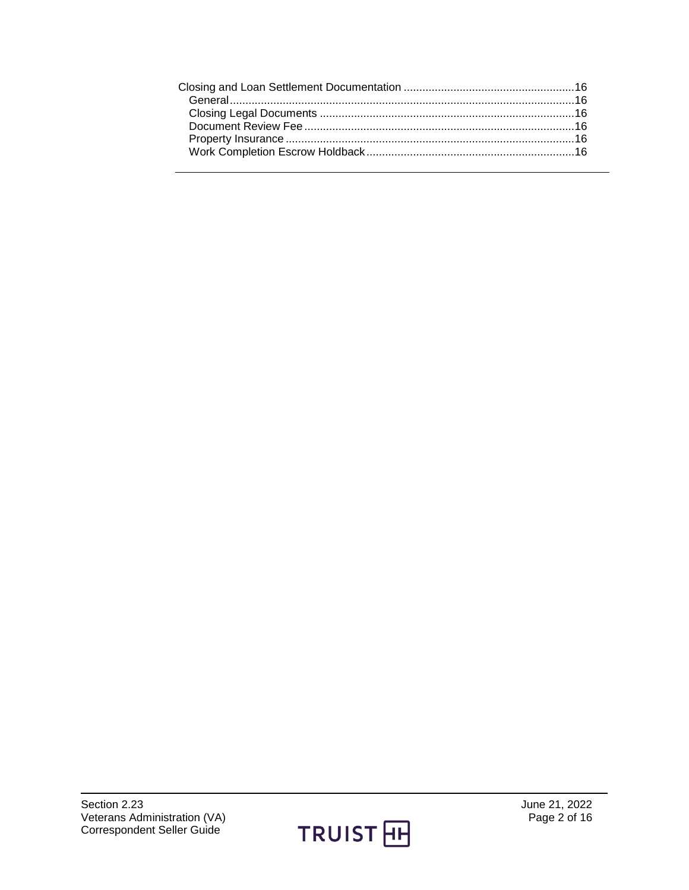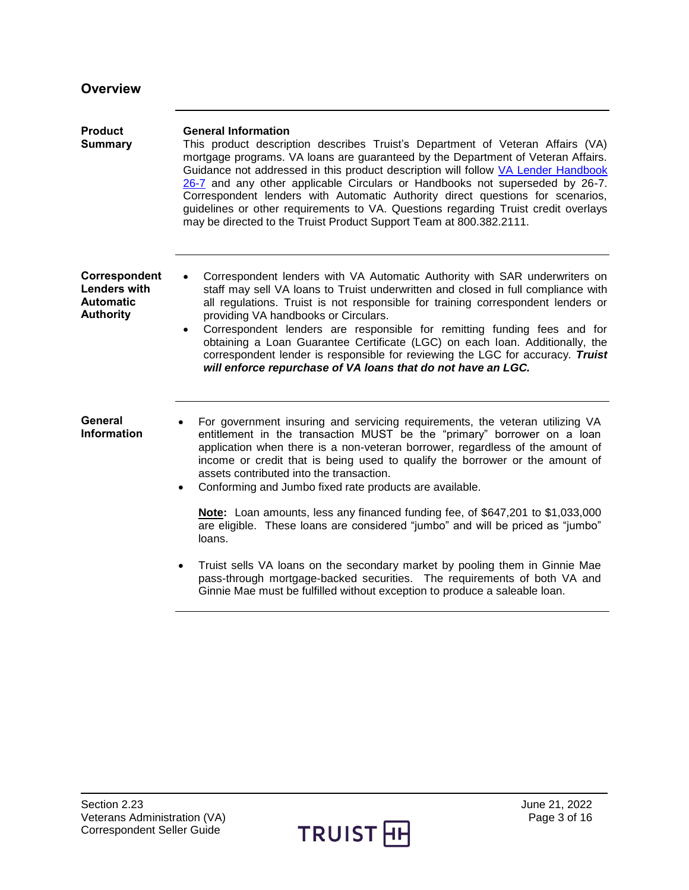<span id="page-2-3"></span><span id="page-2-2"></span><span id="page-2-1"></span><span id="page-2-0"></span>

| <b>Overview</b>                                                              |                                                                                                                                                                                                                                                                                                                                                                                                                                                                                                                                                                                                                        |
|------------------------------------------------------------------------------|------------------------------------------------------------------------------------------------------------------------------------------------------------------------------------------------------------------------------------------------------------------------------------------------------------------------------------------------------------------------------------------------------------------------------------------------------------------------------------------------------------------------------------------------------------------------------------------------------------------------|
| <b>Product</b><br><b>Summary</b>                                             | <b>General Information</b><br>This product description describes Truist's Department of Veteran Affairs (VA)<br>mortgage programs. VA loans are guaranteed by the Department of Veteran Affairs.<br>Guidance not addressed in this product description will follow VA Lender Handbook<br>26-7 and any other applicable Circulars or Handbooks not superseded by 26-7.<br>Correspondent lenders with Automatic Authority direct questions for scenarios,<br>guidelines or other requirements to VA. Questions regarding Truist credit overlays<br>may be directed to the Truist Product Support Team at 800.382.2111.   |
| Correspondent<br><b>Lenders with</b><br><b>Automatic</b><br><b>Authority</b> | Correspondent lenders with VA Automatic Authority with SAR underwriters on<br>staff may sell VA loans to Truist underwritten and closed in full compliance with<br>all regulations. Truist is not responsible for training correspondent lenders or<br>providing VA handbooks or Circulars.<br>Correspondent lenders are responsible for remitting funding fees and for<br>$\bullet$<br>obtaining a Loan Guarantee Certificate (LGC) on each loan. Additionally, the<br>correspondent lender is responsible for reviewing the LGC for accuracy. Truist<br>will enforce repurchase of VA loans that do not have an LGC. |
| General<br><b>Information</b>                                                | For government insuring and servicing requirements, the veteran utilizing VA<br>entitlement in the transaction MUST be the "primary" borrower on a loan<br>application when there is a non-veteran borrower, regardless of the amount of<br>income or credit that is being used to qualify the borrower or the amount of<br>assets contributed into the transaction.<br>Conforming and Jumbo fixed rate products are available.<br>$\bullet$                                                                                                                                                                           |
|                                                                              | Note: Loan amounts, less any financed funding fee, of \$647,201 to \$1,033,000<br>are eligible. These loans are considered "jumbo" and will be priced as "jumbo"<br>loans.                                                                                                                                                                                                                                                                                                                                                                                                                                             |
|                                                                              | Truist sells VA loans on the secondary market by pooling them in Ginnie Mae<br>$\bullet$<br>pass-through mortgage-backed securities. The requirements of both VA and<br>Ginnie Mae must be fulfilled without exception to produce a saleable loan.                                                                                                                                                                                                                                                                                                                                                                     |

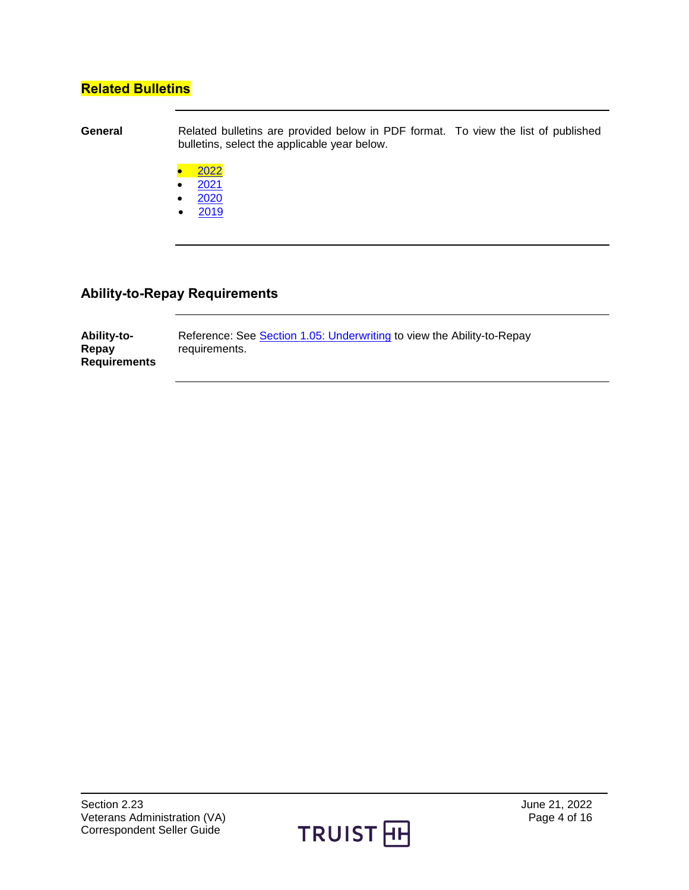### <span id="page-3-0"></span>**Related Bulletins**

**General** Related bulletins are provided below in PDF format. To view the list of published bulletins, select the applicable year below.

- [2022](http://truistsellerguide.com/manual/cor/bulletins/Related%20Bulletins/2022/CVA2022.pdf)
- $2021$
- [2020](http://truistsellerguide.com/manual/cor/bulletins/Related%20Bulletins/2020/CVA2020.pdf)
- $2019$  $2019$

### <span id="page-3-1"></span>**Ability-to-Repay Requirements**

| <b>Ability-to-</b>  | Reference: See Section 1.05: Underwriting to view the Ability-to-Repay |
|---------------------|------------------------------------------------------------------------|
| Repay               | requirements.                                                          |
| <b>Requirements</b> |                                                                        |

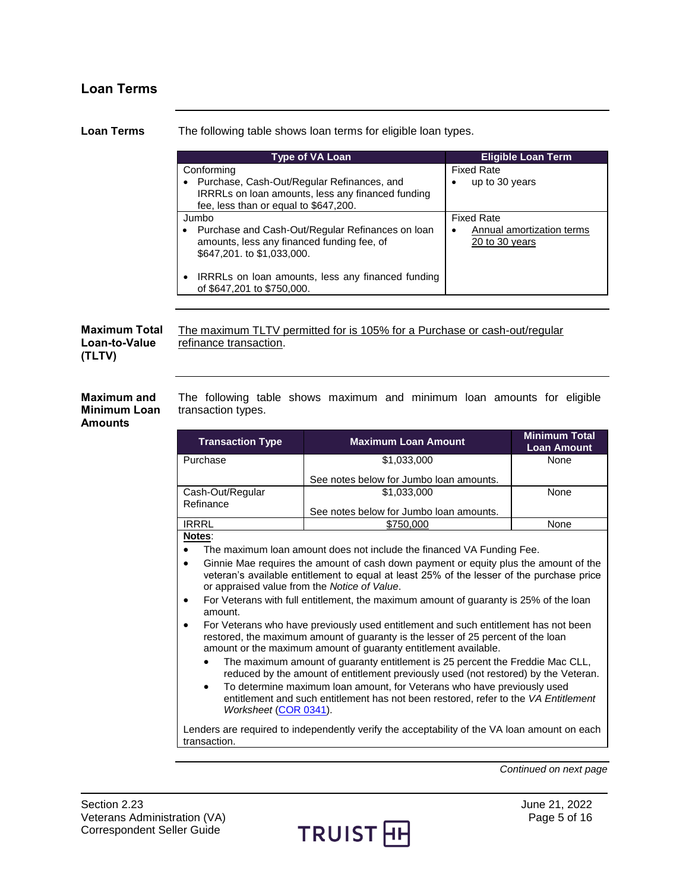## <span id="page-4-0"></span>**Loan Terms**

<span id="page-4-3"></span><span id="page-4-2"></span><span id="page-4-1"></span>

| <b>Loan Terms</b>                                    | The following table shows loan terms for eligible loan types.                         |                                                                                                                                                                                                                                                       |                             |                                            |
|------------------------------------------------------|---------------------------------------------------------------------------------------|-------------------------------------------------------------------------------------------------------------------------------------------------------------------------------------------------------------------------------------------------------|-----------------------------|--------------------------------------------|
|                                                      | Type of VA Loan<br><b>Eligible Loan Term</b>                                          |                                                                                                                                                                                                                                                       |                             |                                            |
|                                                      | Conforming                                                                            | <b>Fixed Rate</b>                                                                                                                                                                                                                                     |                             |                                            |
|                                                      | • Purchase, Cash-Out/Regular Refinances, and<br>fee, less than or equal to \$647,200. | IRRRLs on loan amounts, less any financed funding                                                                                                                                                                                                     | up to 30 years<br>$\bullet$ |                                            |
|                                                      | Jumbo                                                                                 |                                                                                                                                                                                                                                                       | <b>Fixed Rate</b>           |                                            |
|                                                      | amounts, less any financed funding fee, of<br>\$647,201. to \$1,033,000.              | Purchase and Cash-Out/Regular Refinances on loan                                                                                                                                                                                                      | $\bullet$<br>20 to 30 years | Annual amortization terms                  |
|                                                      | of \$647,201 to \$750,000.                                                            | IRRRLs on loan amounts, less any financed funding                                                                                                                                                                                                     |                             |                                            |
| <b>Maximum Total</b><br>Loan-to-Value<br>(TLTV)      | refinance transaction.                                                                | The maximum TLTV permitted for is 105% for a Purchase or cash-out/regular                                                                                                                                                                             |                             |                                            |
| <b>Maximum and</b><br><b>Minimum Loan</b><br>Amounts | transaction types.                                                                    | The following table shows maximum and minimum loan amounts for eligible                                                                                                                                                                               |                             |                                            |
|                                                      | <b>Transaction Type</b>                                                               | <b>Maximum Loan Amount</b>                                                                                                                                                                                                                            |                             | <b>Minimum Total</b><br><b>Loan Amount</b> |
|                                                      | Purchase                                                                              | \$1,033,000                                                                                                                                                                                                                                           |                             | None                                       |
|                                                      |                                                                                       | See notes below for Jumbo loan amounts.                                                                                                                                                                                                               |                             |                                            |
|                                                      | Cash-Out/Regular                                                                      | \$1,033,000                                                                                                                                                                                                                                           |                             | None                                       |
|                                                      | Refinance                                                                             | See notes below for Jumbo loan amounts.                                                                                                                                                                                                               |                             |                                            |
|                                                      | <b>IRRRL</b>                                                                          | \$750,000                                                                                                                                                                                                                                             |                             | None                                       |
|                                                      | Notes:                                                                                |                                                                                                                                                                                                                                                       |                             |                                            |
|                                                      | $\bullet$                                                                             | The maximum loan amount does not include the financed VA Funding Fee.                                                                                                                                                                                 |                             |                                            |
|                                                      | ٠<br>or appraised value from the Notice of Value.                                     | Ginnie Mae requires the amount of cash down payment or equity plus the amount of the<br>veteran's available entitlement to equal at least 25% of the lesser of the purchase price                                                                     |                             |                                            |
|                                                      | $\bullet$<br>amount.                                                                  | For Veterans with full entitlement, the maximum amount of guaranty is 25% of the loan                                                                                                                                                                 |                             |                                            |
|                                                      |                                                                                       | For Veterans who have previously used entitlement and such entitlement has not been<br>restored, the maximum amount of guaranty is the lesser of 25 percent of the loan<br>amount or the maximum amount of guaranty entitlement available.            |                             |                                            |
|                                                      | $\bullet$                                                                             | The maximum amount of guaranty entitlement is 25 percent the Freddie Mac CLL,                                                                                                                                                                         |                             |                                            |
|                                                      | $\bullet$<br>Worksheet (COR 0341).                                                    | reduced by the amount of entitlement previously used (not restored) by the Veteran.<br>To determine maximum loan amount, for Veterans who have previously used<br>entitlement and such entitlement has not been restored, refer to the VA Entitlement |                             |                                            |
|                                                      | transaction.                                                                          | Lenders are required to independently verify the acceptability of the VA loan amount on each                                                                                                                                                          |                             |                                            |
|                                                      |                                                                                       |                                                                                                                                                                                                                                                       |                             | Continued on next page                     |

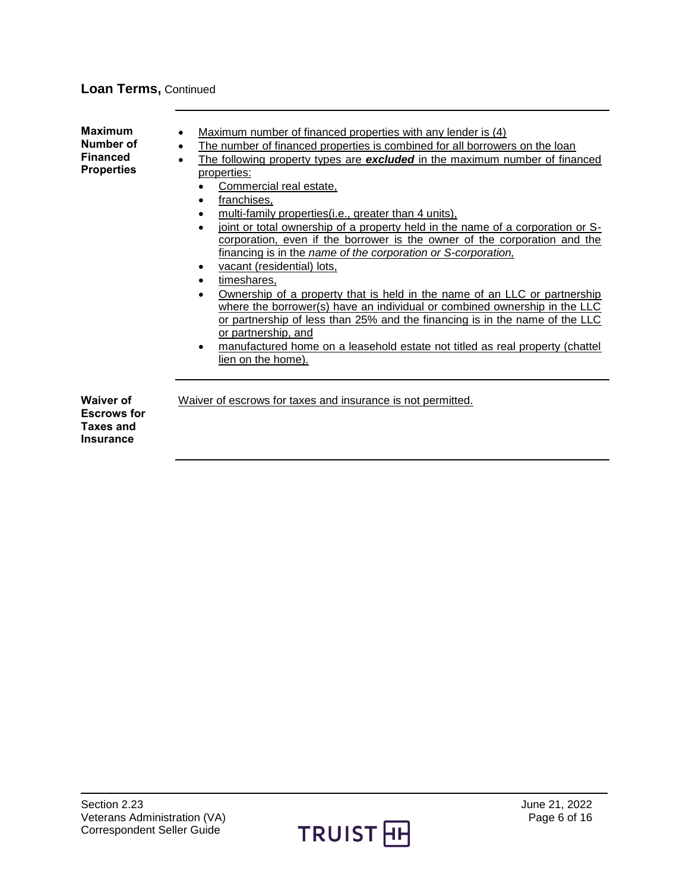### **Loan Terms,** Continued

<span id="page-5-1"></span><span id="page-5-0"></span>

| <b>Maximum</b><br>Number of<br><b>Financed</b><br><b>Properties</b>            | Maximum number of financed properties with any lender is (4)<br>$\bullet$<br>The number of financed properties is combined for all borrowers on the loan<br>$\bullet$<br>The following property types are excluded in the maximum number of financed<br>$\bullet$<br>properties:<br>Commercial real estate,<br>franchises,<br>$\bullet$<br>multi-family properties(i.e., greater than 4 units).<br>joint or total ownership of a property held in the name of a corporation or S-<br>corporation, even if the borrower is the owner of the corporation and the<br>financing is in the name of the corporation or S-corporation,<br>vacant (residential) lots,<br>timeshares,<br>Ownership of a property that is held in the name of an LLC or partnership<br>where the borrower(s) have an individual or combined ownership in the LLC<br>or partnership of less than 25% and the financing is in the name of the LLC<br>or partnership, and<br>manufactured home on a leasehold estate not titled as real property (chattel<br>lien on the home). |
|--------------------------------------------------------------------------------|----------------------------------------------------------------------------------------------------------------------------------------------------------------------------------------------------------------------------------------------------------------------------------------------------------------------------------------------------------------------------------------------------------------------------------------------------------------------------------------------------------------------------------------------------------------------------------------------------------------------------------------------------------------------------------------------------------------------------------------------------------------------------------------------------------------------------------------------------------------------------------------------------------------------------------------------------------------------------------------------------------------------------------------------------|
| <b>Waiver of</b><br><b>Escrows for</b><br><b>Taxes and</b><br><b>Insurance</b> | Waiver of escrows for taxes and insurance is not permitted.                                                                                                                                                                                                                                                                                                                                                                                                                                                                                                                                                                                                                                                                                                                                                                                                                                                                                                                                                                                        |

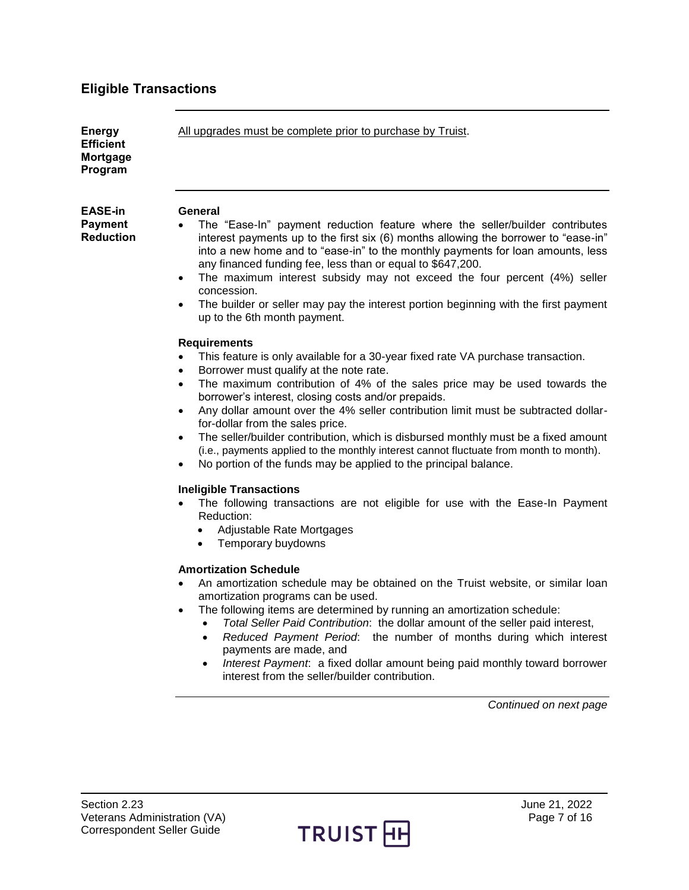# <span id="page-6-0"></span>**Eligible Transactions**

<span id="page-6-2"></span><span id="page-6-1"></span>

| <b>Energy</b><br><b>Efficient</b><br>Mortgage<br>Program | All upgrades must be complete prior to purchase by Truist.                                                                                                                                                                                                                                                                                                                                                                                                                                                                                                                                                                                                                                                                            |
|----------------------------------------------------------|---------------------------------------------------------------------------------------------------------------------------------------------------------------------------------------------------------------------------------------------------------------------------------------------------------------------------------------------------------------------------------------------------------------------------------------------------------------------------------------------------------------------------------------------------------------------------------------------------------------------------------------------------------------------------------------------------------------------------------------|
| <b>EASE-in</b><br><b>Payment</b><br><b>Reduction</b>     | General<br>The "Ease-In" payment reduction feature where the seller/builder contributes<br>interest payments up to the first six (6) months allowing the borrower to "ease-in"<br>into a new home and to "ease-in" to the monthly payments for loan amounts, less<br>any financed funding fee, less than or equal to \$647,200.<br>The maximum interest subsidy may not exceed the four percent (4%) seller<br>٠<br>concession.<br>The builder or seller may pay the interest portion beginning with the first payment<br>$\bullet$<br>up to the 6th month payment.                                                                                                                                                                   |
|                                                          | <b>Requirements</b><br>This feature is only available for a 30-year fixed rate VA purchase transaction.<br>Borrower must qualify at the note rate.<br>$\bullet$<br>The maximum contribution of 4% of the sales price may be used towards the<br>$\bullet$<br>borrower's interest, closing costs and/or prepaids.<br>Any dollar amount over the 4% seller contribution limit must be subtracted dollar-<br>$\bullet$<br>for-dollar from the sales price.<br>The seller/builder contribution, which is disbursed monthly must be a fixed amount<br>$\bullet$<br>(i.e., payments applied to the monthly interest cannot fluctuate from month to month).<br>No portion of the funds may be applied to the principal balance.<br>$\bullet$ |
|                                                          | <b>Ineligible Transactions</b><br>The following transactions are not eligible for use with the Ease-In Payment<br>$\bullet$<br>Reduction:<br>Adjustable Rate Mortgages<br>$\bullet$<br>Temporary buydowns<br>$\bullet$<br><b>Amortization Schedule</b>                                                                                                                                                                                                                                                                                                                                                                                                                                                                                |
|                                                          | An amortization schedule may be obtained on the Truist website, or similar loan<br>٠<br>amortization programs can be used.<br>The following items are determined by running an amortization schedule:<br>$\bullet$<br>Total Seller Paid Contribution: the dollar amount of the seller paid interest,<br>Reduced Payment Period: the number of months during which interest<br>payments are made, and<br>Interest Payment: a fixed dollar amount being paid monthly toward borrower<br>$\bullet$<br>interest from the seller/builder contribution.                                                                                                                                                                                     |
|                                                          | Continued on next page                                                                                                                                                                                                                                                                                                                                                                                                                                                                                                                                                                                                                                                                                                                |
|                                                          |                                                                                                                                                                                                                                                                                                                                                                                                                                                                                                                                                                                                                                                                                                                                       |

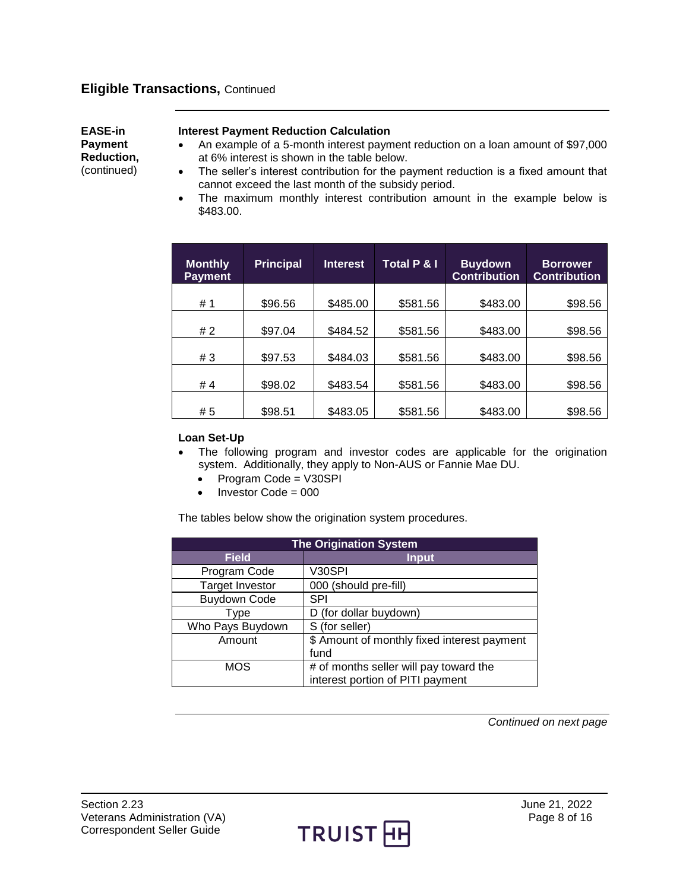#### **Eligible Transactions,** Continued

**EASE-in Payment Reduction,** (continued)

#### **Interest Payment Reduction Calculation**

- An example of a 5-month interest payment reduction on a loan amount of \$97,000 at 6% interest is shown in the table below.
- The seller's interest contribution for the payment reduction is a fixed amount that cannot exceed the last month of the subsidy period.
- The maximum monthly interest contribution amount in the example below is \$483.00.

| <b>Monthly</b><br><b>Payment</b> | <b>Principal</b> | Interest | Total P & I | <b>Buydown</b><br><b>Contribution</b> | <b>Borrower</b><br><b>Contribution</b> |
|----------------------------------|------------------|----------|-------------|---------------------------------------|----------------------------------------|
| # 1                              | \$96.56          | \$485.00 | \$581.56    | \$483.00                              | \$98.56                                |
| #2                               | \$97.04          | \$484.52 | \$581.56    | \$483.00                              | \$98.56                                |
| #3                               | \$97.53          | \$484.03 | \$581.56    | \$483.00                              | \$98.56                                |
| #4                               | \$98.02          | \$483.54 | \$581.56    | \$483.00                              | \$98.56                                |
| #5                               | \$98.51          | \$483.05 | \$581.56    | \$483.00                              | \$98.56                                |

#### **Loan Set-Up**

- The following program and investor codes are applicable for the origination system. Additionally, they apply to Non-AUS or Fannie Mae DU.
	- Program Code = V30SPI
	- $\bullet$  Investor Code = 000

The tables below show the origination system procedures.

| <b>The Origination System</b> |                                             |  |
|-------------------------------|---------------------------------------------|--|
| <b>Field</b>                  | <b>Input</b>                                |  |
| Program Code                  | V30SPI                                      |  |
| <b>Target Investor</b>        | 000 (should pre-fill)                       |  |
| <b>Buydown Code</b>           | <b>SPI</b>                                  |  |
| Type                          | D (for dollar buydown)                      |  |
| Who Pays Buydown              | S (for seller)                              |  |
| Amount                        | \$ Amount of monthly fixed interest payment |  |
|                               | fund                                        |  |
| <b>MOS</b>                    | # of months seller will pay toward the      |  |
|                               | interest portion of PITI payment            |  |

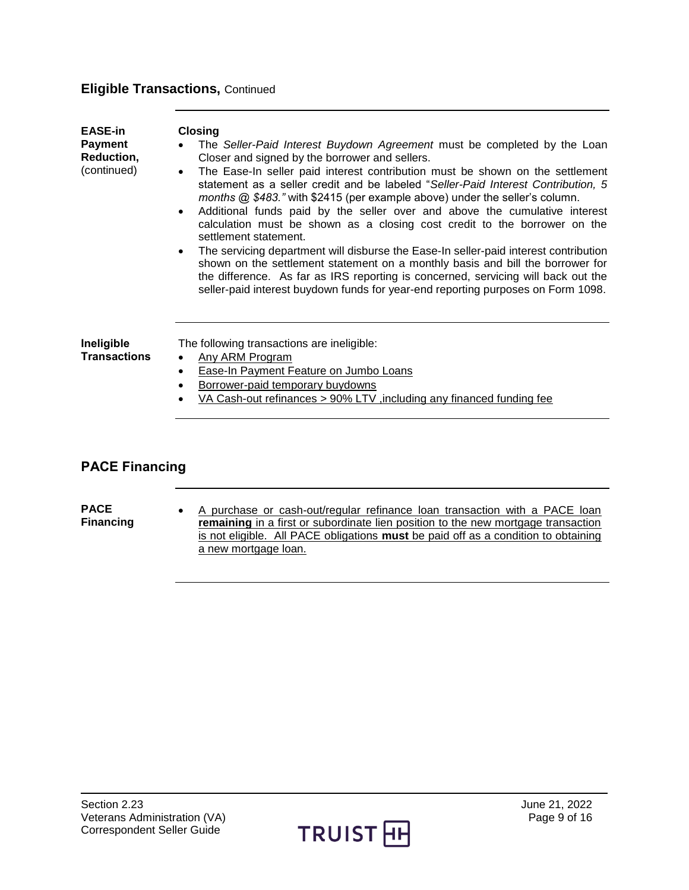## **Eligible Transactions,** Continued

| <b>EASE-in</b><br><b>Payment</b><br>Reduction,<br>(continued) | <b>Closing</b><br>The Seller-Paid Interest Buydown Agreement must be completed by the Loan<br>Closer and signed by the borrower and sellers.<br>The Ease-In seller paid interest contribution must be shown on the settlement<br>$\bullet$<br>statement as a seller credit and be labeled "Seller-Paid Interest Contribution, 5<br>months @ \$483." with \$2415 (per example above) under the seller's column.<br>Additional funds paid by the seller over and above the cumulative interest<br>$\bullet$<br>calculation must be shown as a closing cost credit to the borrower on the<br>settlement statement.<br>The servicing department will disburse the Ease-In seller-paid interest contribution<br>$\bullet$<br>shown on the settlement statement on a monthly basis and bill the borrower for<br>the difference. As far as IRS reporting is concerned, servicing will back out the<br>seller-paid interest buydown funds for year-end reporting purposes on Form 1098. |
|---------------------------------------------------------------|---------------------------------------------------------------------------------------------------------------------------------------------------------------------------------------------------------------------------------------------------------------------------------------------------------------------------------------------------------------------------------------------------------------------------------------------------------------------------------------------------------------------------------------------------------------------------------------------------------------------------------------------------------------------------------------------------------------------------------------------------------------------------------------------------------------------------------------------------------------------------------------------------------------------------------------------------------------------------------|
| Ineligible<br><b>Transactions</b>                             | The following transactions are ineligible:<br>Any ARM Program<br>$\bullet$<br>Ease-In Payment Feature on Jumbo Loans<br>$\bullet$<br>Borrower-paid temporary buydowns<br>$\bullet$<br>VA Cash-out refinances > 90% LTV, including any financed funding fee                                                                                                                                                                                                                                                                                                                                                                                                                                                                                                                                                                                                                                                                                                                      |
| <b>PACE Financing</b><br><b>PACE</b>                          | A purchase or cash-out/regular refinance loan transaction with a PACE loan                                                                                                                                                                                                                                                                                                                                                                                                                                                                                                                                                                                                                                                                                                                                                                                                                                                                                                      |
| <b>Financing</b>                                              | remaining in a first or subordinate lien position to the new mortgage transaction                                                                                                                                                                                                                                                                                                                                                                                                                                                                                                                                                                                                                                                                                                                                                                                                                                                                                               |

<span id="page-8-1"></span><span id="page-8-0"></span>

**remaining** in a first or subordinate lien position to the new mortgage transaction is not eligible. All PACE obligations **must** be paid off as a condition to obtaining a new mortgage loan.

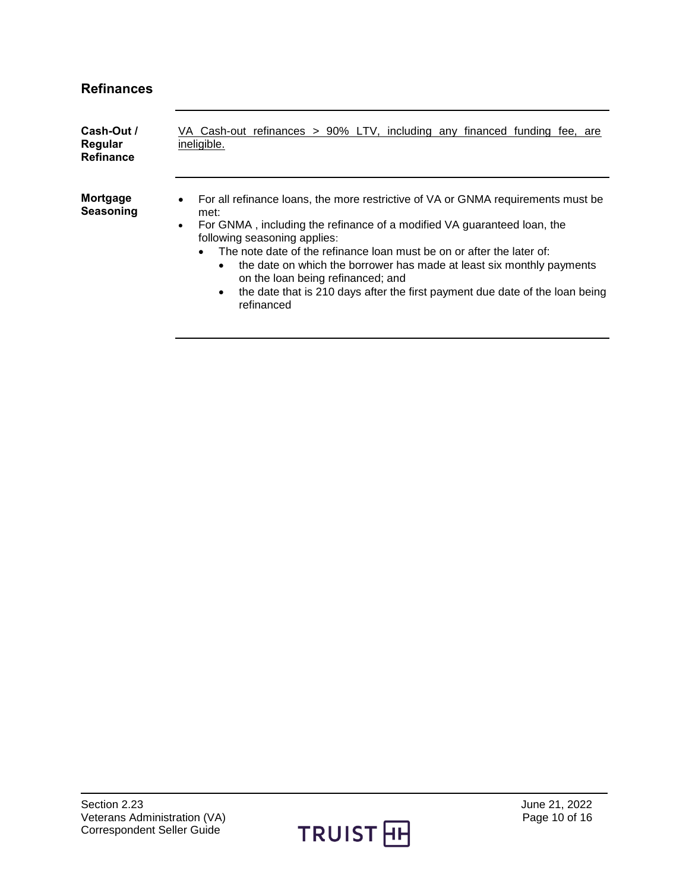## <span id="page-9-0"></span>**Refinances**

<span id="page-9-2"></span><span id="page-9-1"></span>

| Cash-Out /<br>Regular<br><b>Refinance</b> | VA Cash-out refinances > 90% LTV, including any financed funding fee, are<br>ineligible.                                                                                                                                                                                                                                                                                                                                                                                                                                                     |
|-------------------------------------------|----------------------------------------------------------------------------------------------------------------------------------------------------------------------------------------------------------------------------------------------------------------------------------------------------------------------------------------------------------------------------------------------------------------------------------------------------------------------------------------------------------------------------------------------|
| Mortgage<br>Seasoning                     | For all refinance loans, the more restrictive of VA or GNMA requirements must be<br>$\bullet$<br>met:<br>For GNMA, including the refinance of a modified VA guaranteed loan, the<br>$\bullet$<br>following seasoning applies:<br>The note date of the refinance loan must be on or after the later of:<br>the date on which the borrower has made at least six monthly payments<br>$\bullet$<br>on the loan being refinanced; and<br>the date that is 210 days after the first payment due date of the loan being<br>$\bullet$<br>refinanced |

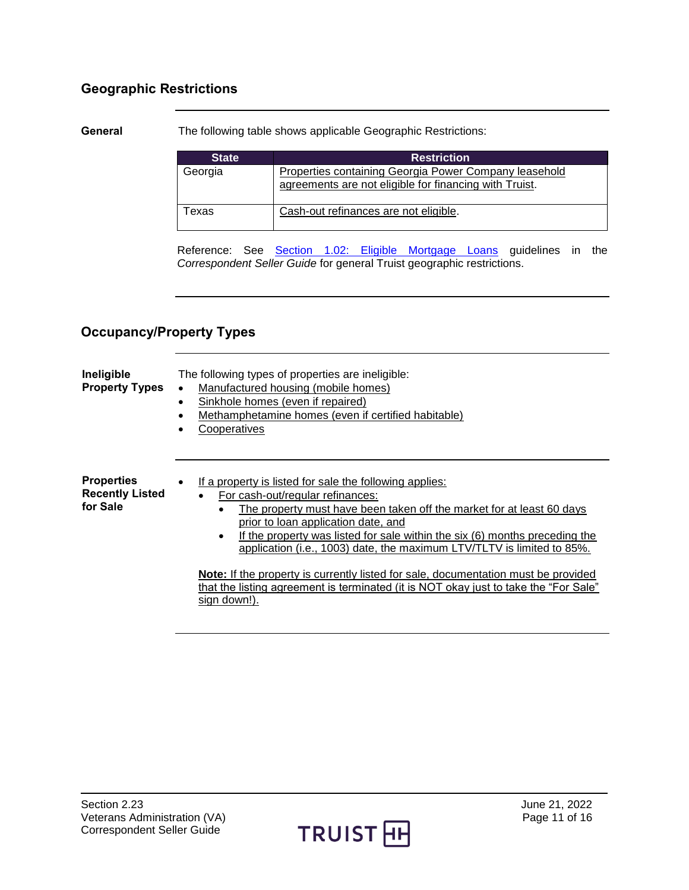### <span id="page-10-0"></span>**Geographic Restrictions**

<span id="page-10-1"></span>**General** The following table shows applicable Geographic Restrictions:

| <b>State</b> | <b>Restriction</b>                                                                                              |
|--------------|-----------------------------------------------------------------------------------------------------------------|
| Georgia      | Properties containing Georgia Power Company leasehold<br>agreements are not eligible for financing with Truist. |
| Texas        | Cash-out refinances are not eligible.                                                                           |

Reference: See Section 1.02: [Eligible Mortgage Loans](http://truistsellerguide.com/manual/cor/general/1.02EligMtg.pdf) guidelines in the *Correspondent Seller Guide* for general Truist geographic restrictions.

### <span id="page-10-2"></span>**Occupancy/Property Types**

<span id="page-10-4"></span><span id="page-10-3"></span>

| Ineligible<br><b>Property Types</b>                     | The following types of properties are ineligible:<br>Manufactured housing (mobile homes)<br>$\bullet$<br>Sinkhole homes (even if repaired)<br>$\bullet$<br>Methamphetamine homes (even if certified habitable)<br>Cooperatives                                                                                                                                                                                                                                                                                                                                                                                                |
|---------------------------------------------------------|-------------------------------------------------------------------------------------------------------------------------------------------------------------------------------------------------------------------------------------------------------------------------------------------------------------------------------------------------------------------------------------------------------------------------------------------------------------------------------------------------------------------------------------------------------------------------------------------------------------------------------|
| <b>Properties</b><br><b>Recently Listed</b><br>for Sale | If a property is listed for sale the following applies:<br>$\bullet$<br>For cash-out/regular refinances:<br>$\bullet$<br>The property must have been taken off the market for at least 60 days<br>$\bullet$<br>prior to loan application date, and<br>If the property was listed for sale within the six (6) months preceding the<br>$\bullet$<br>application (i.e., 1003) date, the maximum LTV/TLTV is limited to 85%.<br><b>Note:</b> If the property is currently listed for sale, documentation must be provided<br>that the listing agreement is terminated (it is NOT okay just to take the "For Sale"<br>sign down!). |

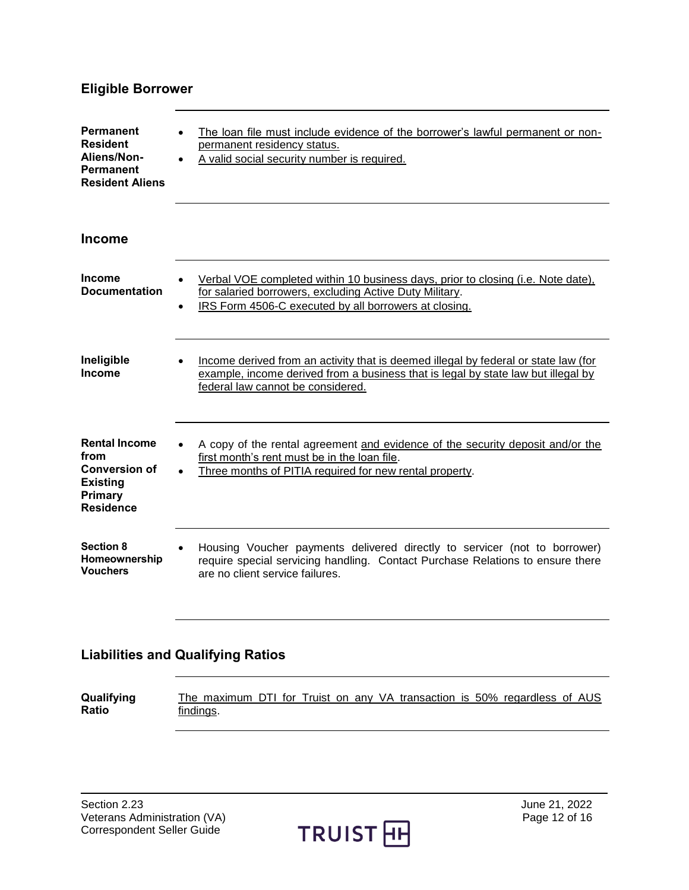## <span id="page-11-0"></span>**Eligible Borrower**

<span id="page-11-4"></span><span id="page-11-3"></span><span id="page-11-2"></span><span id="page-11-1"></span>

| <b>Permanent</b><br><b>Resident</b><br>Aliens/Non-<br>Permanent<br><b>Resident Aliens</b>              | The loan file must include evidence of the borrower's lawful permanent or non-<br>permanent residency status.<br>A valid social security number is required.                                                  |
|--------------------------------------------------------------------------------------------------------|---------------------------------------------------------------------------------------------------------------------------------------------------------------------------------------------------------------|
| <b>Income</b>                                                                                          |                                                                                                                                                                                                               |
| <b>Income</b><br><b>Documentation</b>                                                                  | Verbal VOE completed within 10 business days, prior to closing (i.e. Note date),<br>for salaried borrowers, excluding Active Duty Military.<br>IRS Form 4506-C executed by all borrowers at closing.          |
| Ineligible<br>Income                                                                                   | Income derived from an activity that is deemed illegal by federal or state law (for<br>example, income derived from a business that is legal by state law but illegal by<br>federal law cannot be considered. |
| <b>Rental Income</b><br>from<br><b>Conversion of</b><br><b>Existing</b><br>Primary<br><b>Residence</b> | A copy of the rental agreement and evidence of the security deposit and/or the<br>first month's rent must be in the loan file.<br>Three months of PITIA required for new rental property.                     |
| <b>Section 8</b><br>Homeownership<br><b>Vouchers</b>                                                   | Housing Voucher payments delivered directly to servicer (not to borrower)<br>require special servicing handling. Contact Purchase Relations to ensure there<br>are no client service failures.                |

## <span id="page-11-7"></span><span id="page-11-6"></span><span id="page-11-5"></span>**Liabilities and Qualifying Ratios**

<span id="page-11-8"></span>

| Qualifying | The maximum DTI for Truist on any VA transaction is 50% regardless of AUS |  |  |  |  |  |
|------------|---------------------------------------------------------------------------|--|--|--|--|--|
| Ratio      | findings.                                                                 |  |  |  |  |  |

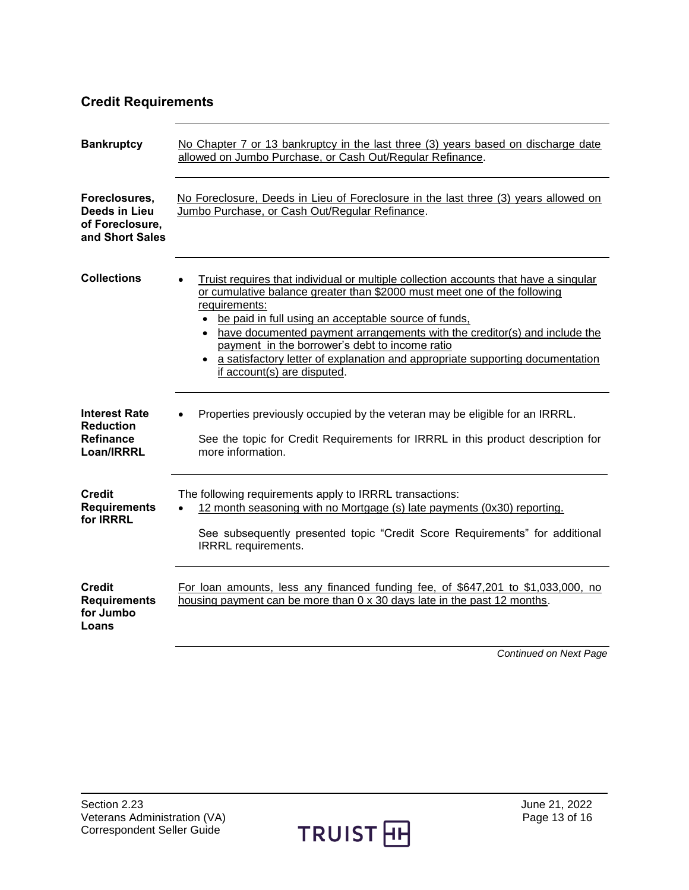## <span id="page-12-0"></span>**Credit Requirements**

<span id="page-12-5"></span><span id="page-12-4"></span><span id="page-12-3"></span><span id="page-12-2"></span><span id="page-12-1"></span>

| <b>Bankruptcy</b>                                                          | No Chapter 7 or 13 bankruptcy in the last three (3) years based on discharge date<br>allowed on Jumbo Purchase, or Cash Out/Regular Refinance.                                                                                                                                                                                                                                                                                                                                             |
|----------------------------------------------------------------------------|--------------------------------------------------------------------------------------------------------------------------------------------------------------------------------------------------------------------------------------------------------------------------------------------------------------------------------------------------------------------------------------------------------------------------------------------------------------------------------------------|
| Foreclosures,<br>Deeds in Lieu<br>of Foreclosure,<br>and Short Sales       | No Foreclosure, Deeds in Lieu of Foreclosure in the last three (3) years allowed on<br>Jumbo Purchase, or Cash Out/Regular Refinance.                                                                                                                                                                                                                                                                                                                                                      |
| <b>Collections</b>                                                         | Truist requires that individual or multiple collection accounts that have a singular<br>or cumulative balance greater than \$2000 must meet one of the following<br>requirements:<br>be paid in full using an acceptable source of funds,<br>have documented payment arrangements with the creditor(s) and include the<br>payment in the borrower's debt to income ratio<br>• a satisfactory letter of explanation and appropriate supporting documentation<br>if account(s) are disputed. |
| <b>Interest Rate</b><br><b>Reduction</b><br><b>Refinance</b><br>Loan/IRRRL | Properties previously occupied by the veteran may be eligible for an IRRRL.<br>See the topic for Credit Requirements for IRRRL in this product description for<br>more information.                                                                                                                                                                                                                                                                                                        |
| <b>Credit</b><br><b>Requirements</b><br>for <b>IRRRL</b>                   | The following requirements apply to IRRRL transactions:<br>12 month seasoning with no Mortgage (s) late payments (0x30) reporting.<br>$\bullet$<br>See subsequently presented topic "Credit Score Requirements" for additional<br><b>IRRRL</b> requirements.                                                                                                                                                                                                                               |
| <b>Credit</b><br><b>Requirements</b><br>for Jumbo<br>Loans                 | For loan amounts, less any financed funding fee, of \$647,201 to \$1,033,000, no<br>housing payment can be more than 0 x 30 days late in the past 12 months.                                                                                                                                                                                                                                                                                                                               |
|                                                                            | <b>Continued on Next Page</b>                                                                                                                                                                                                                                                                                                                                                                                                                                                              |

<span id="page-12-6"></span>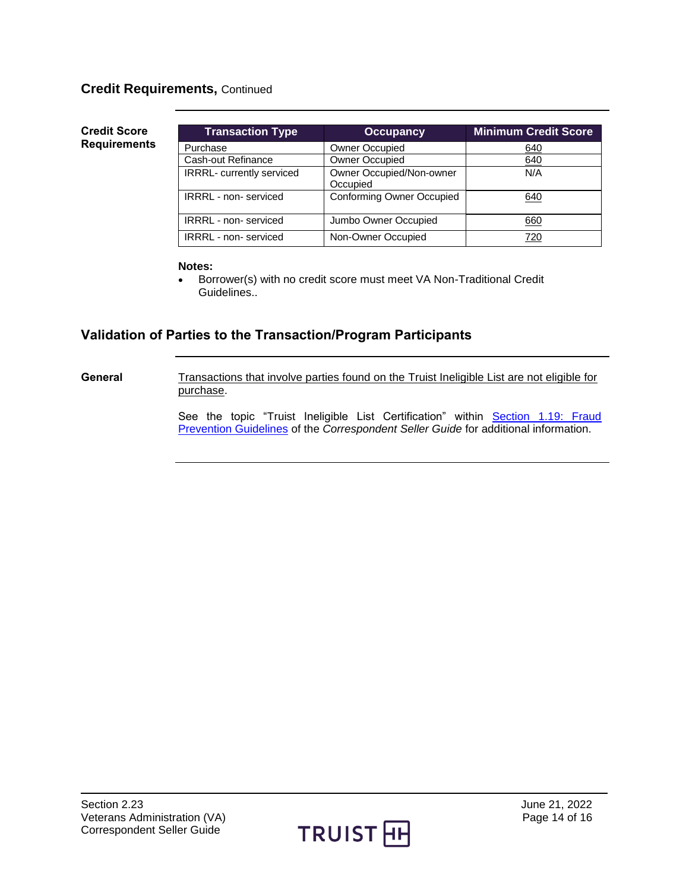#### **Credit Requirements,** Continued

#### <span id="page-13-0"></span>**Credit Score Requirements**

| <b>Transaction Type</b>          | <b>Occupancy</b>                     | <b>Minimum Credit Score</b> |
|----------------------------------|--------------------------------------|-----------------------------|
| Purchase                         | <b>Owner Occupied</b>                | 640                         |
| Cash-out Refinance               | <b>Owner Occupied</b>                | 640                         |
| <b>IRRRL-</b> currently serviced | Owner Occupied/Non-owner<br>Occupied | N/A                         |
| <b>IRRRL</b> - non- serviced     | <b>Conforming Owner Occupied</b>     | 640                         |
| <b>IRRRL</b> - non- serviced     | Jumbo Owner Occupied                 | 660                         |
| <b>IRRRL</b> - non-serviced      | Non-Owner Occupied                   | 720                         |

#### **Notes:**

• Borrower(s) with no credit score must meet VA Non-Traditional Credit Guidelines..

### <span id="page-13-1"></span>**Validation of Parties to the Transaction/Program Participants**

<span id="page-13-2"></span>General Transactions that involve parties found on the Truist Ineligible List are not eligible for purchase.

> See the topic "Truist Ineligible List Certification" within Section 1.19: Fraud [Prevention Guidelines](https://truistsellerguide.com/manual/cor/general/1.19FraudPreventionGuidelines.pdf) of the *Correspondent Seller Guide* for additional information.

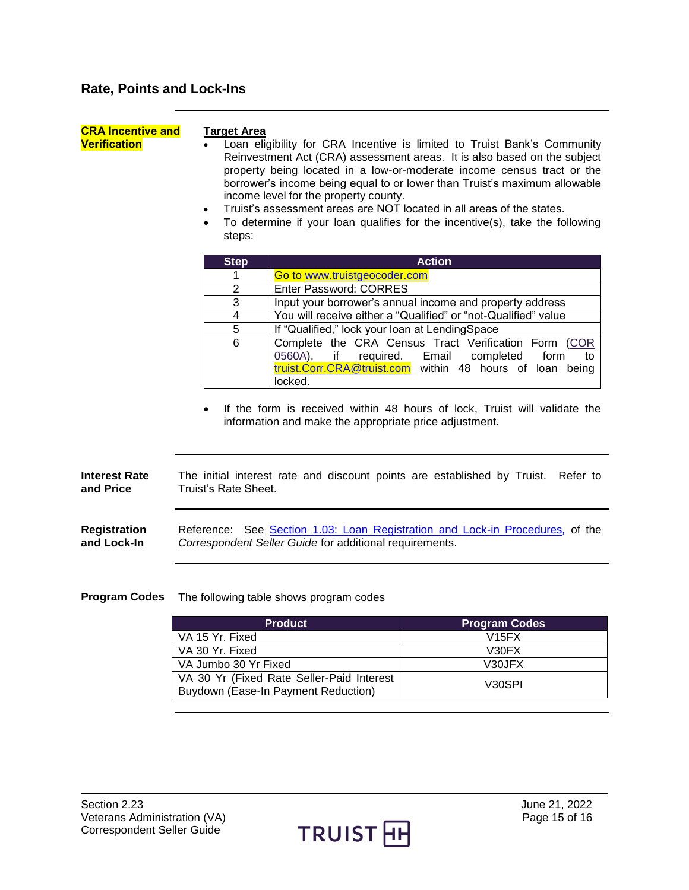<span id="page-14-1"></span><span id="page-14-0"></span>

| <b>CRA Incentive and</b><br><b>Verification</b> | <b>Target Area</b><br>Loan eligibility for CRA Incentive is limited to Truist Bank's Community<br>Reinvestment Act (CRA) assessment areas. It is also based on the subject<br>property being located in a low-or-moderate income census tract or the<br>borrower's income being equal to or lower than Truist's maximum allowable<br>income level for the property county.<br>Truist's assessment areas are NOT located in all areas of the states.<br>$\bullet$<br>To determine if your loan qualifies for the incentive(s), take the following<br>$\bullet$<br>steps: |                                                                                                 |                                                                                                                                                                                                                                   |  |  |
|-------------------------------------------------|-------------------------------------------------------------------------------------------------------------------------------------------------------------------------------------------------------------------------------------------------------------------------------------------------------------------------------------------------------------------------------------------------------------------------------------------------------------------------------------------------------------------------------------------------------------------------|-------------------------------------------------------------------------------------------------|-----------------------------------------------------------------------------------------------------------------------------------------------------------------------------------------------------------------------------------|--|--|
|                                                 | <b>Step</b>                                                                                                                                                                                                                                                                                                                                                                                                                                                                                                                                                             |                                                                                                 | <b>Action</b>                                                                                                                                                                                                                     |  |  |
|                                                 | 1                                                                                                                                                                                                                                                                                                                                                                                                                                                                                                                                                                       | Go to www.truistgeocoder.com                                                                    |                                                                                                                                                                                                                                   |  |  |
|                                                 | $\overline{2}$                                                                                                                                                                                                                                                                                                                                                                                                                                                                                                                                                          | <b>Enter Password: CORRES</b>                                                                   |                                                                                                                                                                                                                                   |  |  |
|                                                 | 3                                                                                                                                                                                                                                                                                                                                                                                                                                                                                                                                                                       |                                                                                                 | Input your borrower's annual income and property address                                                                                                                                                                          |  |  |
|                                                 | $\overline{4}$                                                                                                                                                                                                                                                                                                                                                                                                                                                                                                                                                          |                                                                                                 | You will receive either a "Qualified" or "not-Qualified" value                                                                                                                                                                    |  |  |
|                                                 | 5                                                                                                                                                                                                                                                                                                                                                                                                                                                                                                                                                                       | If "Qualified," lock your loan at LendingSpace                                                  |                                                                                                                                                                                                                                   |  |  |
|                                                 | 6                                                                                                                                                                                                                                                                                                                                                                                                                                                                                                                                                                       | 0560A),<br>if<br>required.<br>locked.<br>information and make the appropriate price adjustment. | Complete the CRA Census Tract Verification Form (COR<br>Email<br>completed<br>form<br>to<br>truist.Corr.CRA@truist.com within 48 hours of loan being<br>If the form is received within 48 hours of lock, Truist will validate the |  |  |
| <b>Interest Rate</b><br>and Price               | Truist's Rate Sheet.                                                                                                                                                                                                                                                                                                                                                                                                                                                                                                                                                    |                                                                                                 | The initial interest rate and discount points are established by Truist. Refer to                                                                                                                                                 |  |  |
| <b>Registration</b><br>and Lock-In              | Reference: See Section 1.03: Loan Registration and Lock-in Procedures, of the<br>Correspondent Seller Guide for additional requirements.                                                                                                                                                                                                                                                                                                                                                                                                                                |                                                                                                 |                                                                                                                                                                                                                                   |  |  |
| <b>Program Codes</b>                            |                                                                                                                                                                                                                                                                                                                                                                                                                                                                                                                                                                         | The following table shows program codes                                                         |                                                                                                                                                                                                                                   |  |  |
|                                                 |                                                                                                                                                                                                                                                                                                                                                                                                                                                                                                                                                                         | <b>Product</b>                                                                                  | <b>Program Codes</b>                                                                                                                                                                                                              |  |  |

| <b>Product</b>                                                                   | <b>Program Codes</b> |
|----------------------------------------------------------------------------------|----------------------|
| VA 15 Yr. Fixed                                                                  | V15FX                |
| VA 30 Yr. Fixed                                                                  | V <sub>30</sub> FX   |
| VA Jumbo 30 Yr Fixed                                                             | V30JFX               |
| VA 30 Yr (Fixed Rate Seller-Paid Interest<br>Buydown (Ease-In Payment Reduction) | V <sub>30</sub> SPI  |